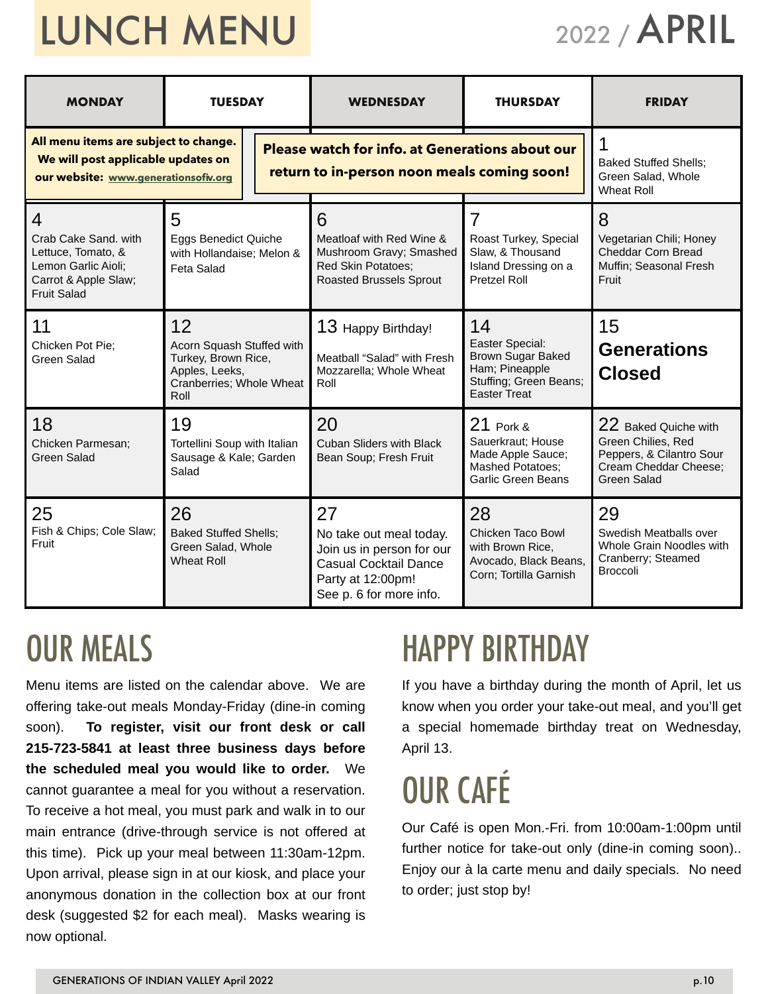# LUNCH MENU

## 2022 / APRIL

| <b>MONDAY</b>                                                                                                                     | <b>TUESDAY</b>                                                                                               | <b>WEDNESDAY</b>                                                                                                                           | <b>THURSDAY</b>                                                                                                      | <b>FRIDAY</b>                                                                                                         |
|-----------------------------------------------------------------------------------------------------------------------------------|--------------------------------------------------------------------------------------------------------------|--------------------------------------------------------------------------------------------------------------------------------------------|----------------------------------------------------------------------------------------------------------------------|-----------------------------------------------------------------------------------------------------------------------|
| All menu items are subject to change.<br>We will post applicable updates on<br>our website: www.generationsofiv.org               |                                                                                                              | <b>Please watch for info. at Generations about our</b><br>return to in-person noon meals coming soon!                                      | <b>Baked Stuffed Shells;</b><br>Green Salad, Whole<br><b>Wheat Roll</b>                                              |                                                                                                                       |
| $\overline{4}$<br>Crab Cake Sand, with<br>Lettuce, Tomato, &<br>Lemon Garlic Aioli;<br>Carrot & Apple Slaw;<br><b>Fruit Salad</b> | 5<br><b>Eggs Benedict Quiche</b><br>with Hollandaise; Melon &<br>Feta Salad                                  | 6<br>Meatloaf with Red Wine &<br>Mushroom Gravy; Smashed<br>Red Skin Potatoes;<br>Roasted Brussels Sprout                                  | $\overline{7}$<br>Roast Turkey, Special<br>Slaw, & Thousand<br>Island Dressing on a<br><b>Pretzel Roll</b>           | 8<br>Vegetarian Chili; Honey<br><b>Cheddar Corn Bread</b><br>Muffin; Seasonal Fresh<br>Fruit                          |
| 11<br>Chicken Pot Pie;<br><b>Green Salad</b>                                                                                      | 12<br>Acorn Squash Stuffed with<br>Turkey, Brown Rice,<br>Apples, Leeks,<br>Cranberries; Whole Wheat<br>Roll | 13 Happy Birthday!<br>Meatball "Salad" with Fresh<br>Mozzarella; Whole Wheat<br>Roll                                                       | 14<br>Easter Special:<br><b>Brown Sugar Baked</b><br>Ham; Pineapple<br>Stuffing; Green Beans;<br><b>Easter Treat</b> | 15<br><b>Generations</b><br><b>Closed</b>                                                                             |
| 18<br>Chicken Parmesan;<br><b>Green Salad</b>                                                                                     | 19<br>Tortellini Soup with Italian<br>Sausage & Kale; Garden<br>Salad                                        | 20<br><b>Cuban Sliders with Black</b><br>Bean Soup; Fresh Fruit                                                                            | $21$ Pork &<br>Sauerkraut; House<br>Made Apple Sauce;<br><b>Mashed Potatoes:</b><br><b>Garlic Green Beans</b>        | 22 Baked Quiche with<br>Green Chilies, Red<br>Peppers, & Cilantro Sour<br>Cream Cheddar Cheese:<br><b>Green Salad</b> |
| 25<br>Fish & Chips; Cole Slaw;<br>Fruit                                                                                           | 26<br><b>Baked Stuffed Shells;</b><br>Green Salad, Whole<br><b>Wheat Roll</b>                                | 27<br>No take out meal today.<br>Join us in person for our<br><b>Casual Cocktail Dance</b><br>Party at 12:00pm!<br>See p. 6 for more info. | 28<br>Chicken Taco Bowl<br>with Brown Rice,<br>Avocado, Black Beans,<br>Corn; Tortilla Garnish                       | 29<br>Swedish Meatballs over<br>Whole Grain Noodles with<br>Cranberry; Steamed<br><b>Broccoli</b>                     |

#### OUR MEALS

Menu items are listed on the calendar above. We are offering take-out meals Monday-Friday (dine-in coming soon). **To register, visit our front desk or call 215-723-5841 at least three business days before the scheduled meal you would like to order.** We cannot guarantee a meal for you without a reservation. To receive a hot meal, you must park and walk in to our main entrance (drive-through service is not offered at this time). Pick up your meal between 11:30am-12pm. Upon arrival, please sign in at our kiosk, and place your anonymous donation in the collection box at our front desk (suggested \$2 for each meal). Masks wearing is now optional.

#### HAPPY BIRTHDAY

If you have a birthday during the month of April, let us know when you order your take-out meal, and you'll get a special homemade birthday treat on Wednesday, April 13.

## OUR CAFÉ

Our Café is open Mon.-Fri. from 10:00am-1:00pm until further notice for take-out only (dine-in coming soon).. Enjoy our à la carte menu and daily specials. No need to order; just stop by!